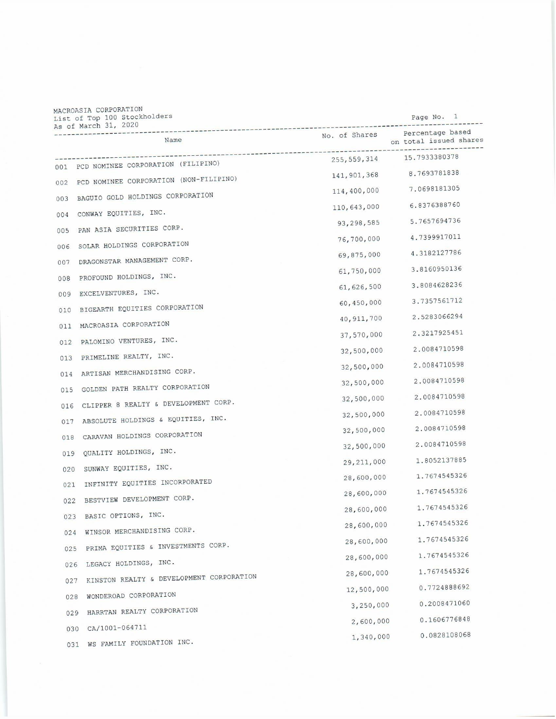| MACROASIA CORPORATION<br>List of Top 100 Stockholders |               | Page No. 1                                 |
|-------------------------------------------------------|---------------|--------------------------------------------|
| As of March 31, 2020<br>Name                          | No. of Shares | Percentage based<br>on total issued shares |
| 001 PCD NOMINEE CORPORATION (FILIPINO)                |               | 255, 559, 314 15. 7933380378               |
| 002 PCD NOMINEE CORPORATION (NON-FILIPINO)            | 141,901,368   | 8.7693781838                               |
| BAGUIO GOLD HOLDINGS CORPORATION                      | 114,400,000   | 7.0698181305                               |
| 003                                                   | 110,643,000   | 6.8376388760                               |
| CONWAY EQUITIES, INC.<br>004                          | 93,298,585    | 5.7657694736                               |
| PAN ASIA SECURITIES CORP.<br>005                      | 76,700,000    | 4.7399917011                               |
| SOLAR HOLDINGS CORPORATION<br>006                     | 69,875,000    | 4.3182127786                               |
| DRAGONSTAR MANAGEMENT CORP.<br>007                    | 61,750,000    | 3.8160950136                               |
| PROFOUND HOLDINGS, INC.<br>008                        | 61, 626, 500  | 3.8084628236                               |
| EXCELVENTURES, INC.<br>009                            | 60,450,000    | 3.7357561712                               |
| BIGEARTH EQUITIES CORPORATION<br>010                  | 40, 911, 700  | 2.5283066294                               |
| MACROASIA CORPORATION<br>011                          | 37,570,000    | 2.3217925451                               |
| PALOMINO VENTURES, INC.<br>012                        | 32,500,000    | 2.0084710598                               |
| PRIMELINE REALTY, INC.<br>013                         | 32,500,000    | 2.0084710598                               |
| ARTISAN MERCHANDISING CORP.<br>014                    | 32,500,000    | 2.0084710598                               |
| GOLDEN PATH REALTY CORPORATION<br>015                 | 32,500,000    | 2.0084710598                               |
| CLIPPER 8 REALTY & DEVELOPMENT CORP.<br>016           | 32,500,000    | 2.0084710598                               |
| ABSOLUTE HOLDINGS & EQUITIES, INC.<br>017             | 32,500,000    | 2.0084710598                               |
| CARAVAN HOLDINGS CORPORATION<br>018                   | 32,500,000    | 2.0084710598                               |
| QUALITY HOLDINGS, INC.<br>019                         | 29, 211, 000  | 1.8052137885                               |
| SUNWAY EQUITIES, INC.<br>020                          | 28,600,000    | 1.7674545326                               |
| INFINITY EQUITIES INCORPORATED<br>021                 | 28,600,000    | 1.7674545326                               |
| BESTVIEW DEVELOPMENT CORP.<br>022                     |               | 1.7674545326                               |
| BASIC OPTIONS, INC.<br>023                            | 28,600,000    | 1.7674545326                               |
| WINSOR MERCHANDISING CORP.<br>024                     | 28,600,000    | 1.7674545326                               |
| PRIMA EQUITIES & INVESTMENTS CORP.<br>025             | 28,600,000    | 1.7674545326                               |
| LEGACY HOLDINGS, INC.<br>026                          | 28,600,000    | 1.7674545326                               |
| KINSTON REALTY & DEVELOPMENT CORPORATION<br>027       | 28,600,000    |                                            |
| WONDEROAD CORPORATION<br>028                          | 12,500,000    | 0.7724888692                               |
| HARRTAN REALTY CORPORATION<br>029                     | 3,250,000     | 0.2008471060                               |
| CA/1001-064711<br>030                                 | 2,600,000     | 0.1606776848                               |
| WS FAMILY FOUNDATION INC.<br>031                      | 1,340,000     | 0.0828108068                               |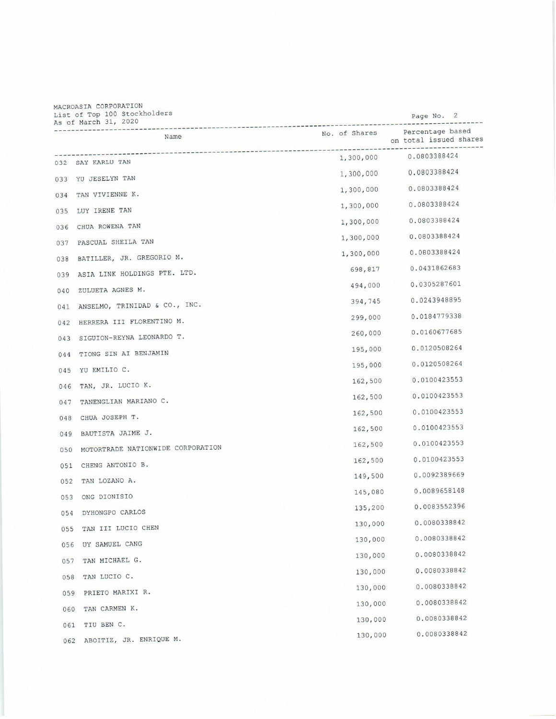## MACROASIA CORPORATION<br>List of Top 100 Stockholders

|     | MACROADIA CONFORMI<br>List of Top 100 Stockholders<br>As of March 31, 2020 |               | Page No. 2                                 |
|-----|----------------------------------------------------------------------------|---------------|--------------------------------------------|
|     | Name                                                                       | No. of Shares | Percentage based<br>on total issued shares |
|     | 032 SAY KARLU TAN                                                          | 1,300,000     | 0.0803388424                               |
|     | 033 YU JESELYN TAN                                                         | 1,300,000     | 0.0803388424                               |
| 034 | TAN VIVIENNE K.                                                            | 1,300,000     | 0.0803388424                               |
| 035 | LUY IRENE TAN                                                              | 1,300,000     | 0.0803388424                               |
| 036 | CHUA ROWENA TAN                                                            | 1,300,000     | 0.0803388424                               |
| 037 | PASCUAL SHEILA TAN                                                         | 1,300,000     | 0.0803388424                               |
| 038 | BATILLER, JR. GREGORIO M.                                                  | 1,300,000     | 0.0803388424                               |
| 039 | ASIA LINK HOLDINGS PTE. LTD.                                               | 698,817       | 0.0431862683                               |
| 040 | ZULUETA AGNES M.                                                           | 494,000       | 0.0305287601                               |
| 041 | ANSELMO, TRINIDAD & CO., INC.                                              | 394,745       | 0.0243948895                               |
| 042 | HERRERA III FLORENTINO M.                                                  | 299,000       | 0.0184779338                               |
| 043 | SIGUION-REYNA LEONARDO T.                                                  | 260,000       | 0.0160677685                               |
| 044 | TIONG SIN AI BENJAMIN                                                      | 195,000       | 0.0120508264                               |
| 045 | YU EMILIO C.                                                               | 195,000       | 0.0120508264                               |
| 046 | TAN, JR. LUCIO K.                                                          | 162,500       | 0.0100423553                               |
| 047 | TANENGLIAN MARIANO C.                                                      | 162,500       | 0.0100423553                               |
| 048 | CHUA JOSEPH T.                                                             | 162,500       | 0.0100423553                               |
| 049 | BAUTISTA JAIME J.                                                          | 162,500       | 0.0100423553                               |
| 050 | MOTORTRADE NATIONWIDE CORPORATION                                          | 162,500       | 0.0100423553                               |
| 051 | CHENG ANTONIO B.                                                           | 162,500       | 0.0100423553                               |
| 052 | TAN LOZANO A.                                                              | 149,500       | 0.0092389669                               |
| 053 | ONG DIONISIO                                                               | 145,080       | 0.0089658148                               |
| 054 | DYHONGPO CARLOS                                                            | 135,200       | 0.0083552396                               |
| 055 | TAN III LUCIO CHEN                                                         | 130,000       | 0.0080338842                               |
| 056 | UY SAMUEL CANG                                                             | 130,000       | 0.0080338842                               |
| 057 | TAN MICHAEL G.                                                             | 130,000       | 0.0080338842                               |
| 058 | TAN LUCIO C.                                                               | 130,000       | 0.0080338842                               |
| 059 | PRIETO MARIXI R.                                                           | 130,000       | 0.0080338842                               |
| 060 | TAN CARMEN K.                                                              | 130,000       | 0.0080338842                               |
| 061 | TIU BEN C.                                                                 | 130,000       | 0.0080338842                               |
| 062 | ABOITIZ, JR. ENRIQUE M.                                                    | 130,000       | 0.0080338842                               |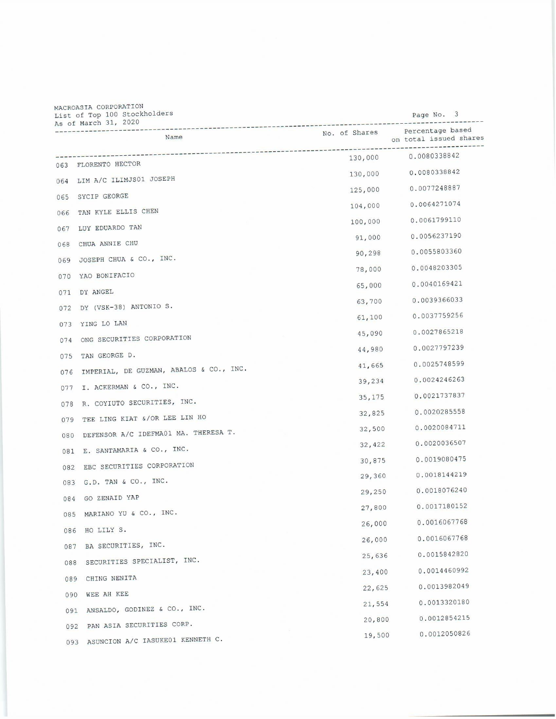| MACROASIA CORPORATION<br>List of Top 100 Stockholders<br>As of March 31, 2020 |               | Page No. 3             |
|-------------------------------------------------------------------------------|---------------|------------------------|
| Name                                                                          | No. of Shares | on total issued shares |
|                                                                               | 130,000       | 0.0080338842           |
| 063 FLORENTO HECTOR                                                           | 130,000       | 0.0080338842           |
| 064 LIM A/C ILIMJS01 JOSEPH                                                   | 125,000       | 0.0077248887           |
| 065 SYCIP GEORGE                                                              | 104,000       | 0.0064271074           |
| TAN KYLE ELLIS CHEN<br>066                                                    | 100,000       | 0.0061799110           |
| LUY EDUARDO TAN<br>067                                                        | 91,000        | 0.0056237190           |
| CHUA ANNIE CHU<br>068                                                         | 90,298        | 0.0055803360           |
| JOSEPH CHUA & CO., INC.<br>069                                                | 78,000        | 0.0048203305           |
| YAO BONIFACIO<br>070                                                          | 65,000        | 0.0040169421           |
| DY ANGEL<br>071                                                               | 63,700        | 0.0039366033           |
| DY (VSK-38) ANTONIO S.<br>072                                                 | 61,100        | 0.0037759256           |
| YING LO LAN<br>073                                                            | 45,090        | 0.0027865218           |
| ONG SECURITIES CORPORATION<br>074                                             | 44,980        | 0.0027797239           |
| TAN GEORGE D.<br>075                                                          | 41,665        | 0.0025748599           |
| IMPERIAL, DE GUZMAN, ABALOS & CO., INC.<br>076                                | 39,234        | 0.0024246263           |
| I. ACKERMAN & CO., INC.<br>077                                                | 35, 175       | 0.0021737837           |
| R. COYIUTO SECURITIES, INC.<br>078                                            | 32,825        | 0.0020285558           |
| TEE LING KIAT &/OR LEE LIN HO<br>079                                          | 32,500        | 0.0020084711           |
| DEFENSOR A/C IDEFMA01 MA. THERESA T.<br>080                                   |               | 0.0020036507           |
| E. SANTAMARIA & CO., INC.<br>081                                              | 32,422        | 0.0019080475           |
| EBC SECURITIES CORPORATION<br>082                                             | 30,875        | 0.0018144219           |
| 083 G.D. TAN & CO., INC.                                                      | 29,360        | 0.0018076240           |
| GO ZENAID YAP<br>084                                                          | 29,250        | 0.0017180152           |
| MARIANO YU & CO., INC.<br>085                                                 | 27,800        | 0.0016067768           |
| HO LILY S.<br>086                                                             | 26,000        |                        |
| BA SECURITIES, INC.<br>087                                                    | 26,000        | 0.0016067768           |
| SECURITIES SPECIALIST, INC.<br>088                                            | 25,636        | 0.0015842820           |
| CHING NENITA<br>089                                                           | 23,400        | 0.0014460992           |
| WEE AH KEE<br>090                                                             | 22,625        | 0.0013982049           |
| ANSALDO, GODINEZ & CO., INC.<br>091                                           | 21,554        | 0.0013320180           |
| PAN ASIA SECURITIES CORP.<br>092                                              | 20,800        | 0.0012854215           |
| ASUNCION A/C IASUKE01 KENNETH C.<br>093                                       | 19,500        | 0.0012050826           |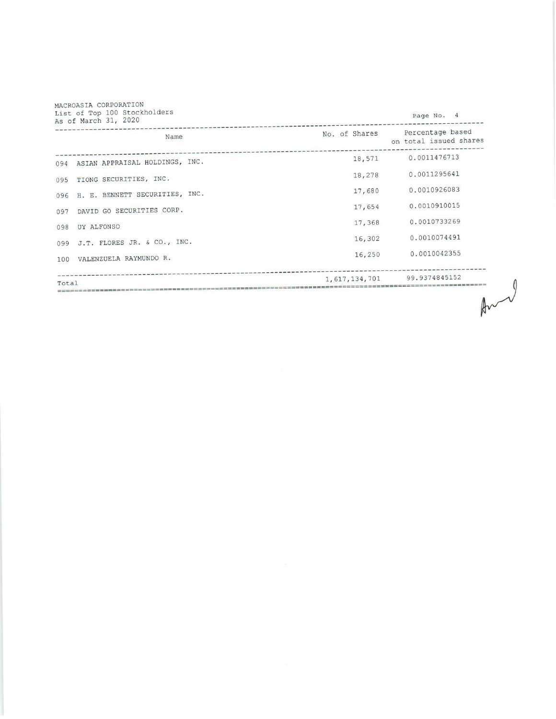| Name                                  | No. of Shares | Percentage based<br>on total issued shares |
|---------------------------------------|---------------|--------------------------------------------|
| 094 ASIAN APPRAISAL HOLDINGS, INC.    | 18,571        | 0.0011476713                               |
| TIONG SECURITIES, INC.<br>095         | 18,278        | 0.0011295641                               |
| H. E. BENNETT SECURITIES, INC.<br>096 | 17,680        | 0.0010926083                               |
| DAVID GO SECURITIES CORP.<br>097      | 17,654        | 0.0010910015                               |
| UY ALFONSO<br>098                     | 17,368        | 0.0010733269                               |
| J.T. FLORES JR. & CO., INC.<br>099    | 16,302        | 0.0010074491                               |
| VALENZUELA RAYMUNDO R.<br>100         | 16,250        | 0.0010042355                               |
| Total                                 |               | 1,617,134,701 99.9374845152                |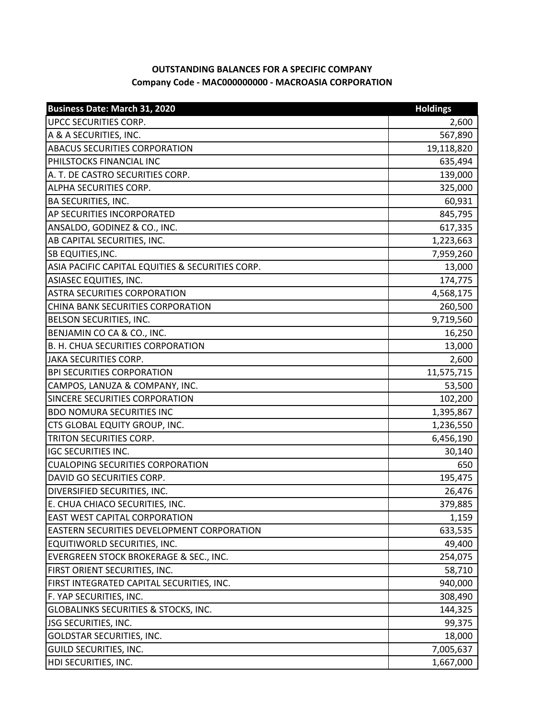## **OUTSTANDING BALANCES FOR A SPECIFIC COMPANY Company Code - MAC000000000 - MACROASIA CORPORATION**

| <b>Business Date: March 31, 2020</b>             | <b>Holdings</b> |
|--------------------------------------------------|-----------------|
| UPCC SECURITIES CORP.                            | 2,600           |
| A & A SECURITIES, INC.                           | 567,890         |
| <b>ABACUS SECURITIES CORPORATION</b>             | 19,118,820      |
| PHILSTOCKS FINANCIAL INC                         | 635,494         |
| A. T. DE CASTRO SECURITIES CORP.                 | 139,000         |
| <b>ALPHA SECURITIES CORP.</b>                    | 325,000         |
| <b>BA SECURITIES, INC.</b>                       | 60,931          |
| AP SECURITIES INCORPORATED                       | 845,795         |
| ANSALDO, GODINEZ & CO., INC.                     | 617,335         |
| AB CAPITAL SECURITIES, INC.                      | 1,223,663       |
| SB EQUITIES, INC.                                | 7,959,260       |
| ASIA PACIFIC CAPITAL EQUITIES & SECURITIES CORP. | 13,000          |
| <b>ASIASEC EQUITIES, INC.</b>                    | 174,775         |
| <b>ASTRA SECURITIES CORPORATION</b>              | 4,568,175       |
| CHINA BANK SECURITIES CORPORATION                | 260,500         |
| BELSON SECURITIES, INC.                          | 9,719,560       |
| BENJAMIN CO CA & CO., INC.                       | 16,250          |
| B. H. CHUA SECURITIES CORPORATION                | 13,000          |
| <b>JAKA SECURITIES CORP.</b>                     | 2,600           |
| <b>BPI SECURITIES CORPORATION</b>                | 11,575,715      |
| CAMPOS, LANUZA & COMPANY, INC.                   | 53,500          |
| SINCERE SECURITIES CORPORATION                   | 102,200         |
| <b>BDO NOMURA SECURITIES INC</b>                 | 1,395,867       |
| CTS GLOBAL EQUITY GROUP, INC.                    | 1,236,550       |
| TRITON SECURITIES CORP.                          | 6,456,190       |
| <b>IGC SECURITIES INC.</b>                       | 30,140          |
| <b>CUALOPING SECURITIES CORPORATION</b>          | 650             |
| DAVID GO SECURITIES CORP.                        | 195,475         |
| DIVERSIFIED SECURITIES, INC.                     | 26,476          |
| E. CHUA CHIACO SECURITIES, INC.                  | 379,885         |
| EAST WEST CAPITAL CORPORATION                    | 1,159           |
| EASTERN SECURITIES DEVELOPMENT CORPORATION       | 633,535         |
| EQUITIWORLD SECURITIES, INC.                     | 49,400          |
| EVERGREEN STOCK BROKERAGE & SEC., INC.           | 254,075         |
| FIRST ORIENT SECURITIES, INC.                    | 58,710          |
| FIRST INTEGRATED CAPITAL SECURITIES, INC.        | 940,000         |
| F. YAP SECURITIES, INC.                          | 308,490         |
| GLOBALINKS SECURITIES & STOCKS, INC.             | 144,325         |
| JSG SECURITIES, INC.                             | 99,375          |
| GOLDSTAR SECURITIES, INC.                        | 18,000          |
| GUILD SECURITIES, INC.                           | 7,005,637       |
| HDI SECURITIES, INC.                             | 1,667,000       |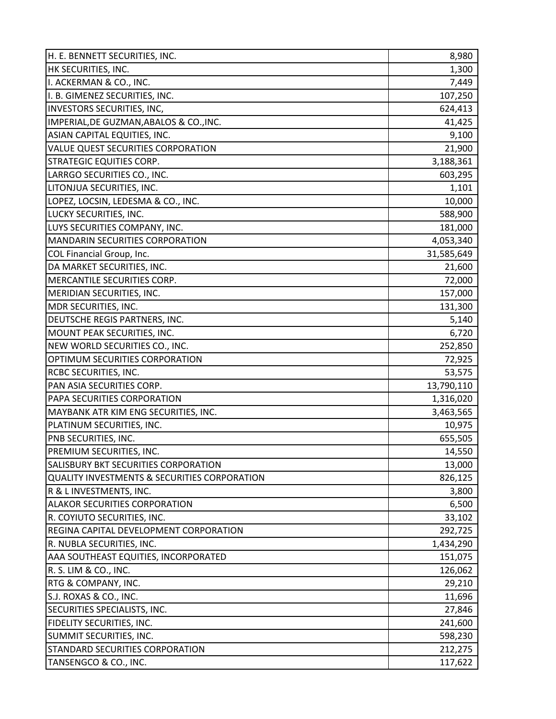| H. E. BENNETT SECURITIES, INC.                          | 8,980      |
|---------------------------------------------------------|------------|
| HK SECURITIES, INC.                                     | 1,300      |
| I. ACKERMAN & CO., INC.                                 | 7,449      |
| I. B. GIMENEZ SECURITIES, INC.                          | 107,250    |
| INVESTORS SECURITIES, INC,                              | 624,413    |
| IMPERIAL, DE GUZMAN, ABALOS & CO., INC.                 | 41,425     |
| ASIAN CAPITAL EQUITIES, INC.                            | 9,100      |
| VALUE QUEST SECURITIES CORPORATION                      | 21,900     |
| <b>STRATEGIC EQUITIES CORP.</b>                         | 3,188,361  |
| LARRGO SECURITIES CO., INC.                             | 603,295    |
| LITONJUA SECURITIES, INC.                               | 1,101      |
| LOPEZ, LOCSIN, LEDESMA & CO., INC.                      | 10,000     |
| LUCKY SECURITIES, INC.                                  | 588,900    |
| LUYS SECURITIES COMPANY, INC.                           | 181,000    |
| <b>MANDARIN SECURITIES CORPORATION</b>                  | 4,053,340  |
| COL Financial Group, Inc.                               | 31,585,649 |
| DA MARKET SECURITIES, INC.                              | 21,600     |
| MERCANTILE SECURITIES CORP.                             | 72,000     |
| MERIDIAN SECURITIES, INC.                               | 157,000    |
| MDR SECURITIES, INC.                                    | 131,300    |
| DEUTSCHE REGIS PARTNERS, INC.                           | 5,140      |
| MOUNT PEAK SECURITIES, INC.                             | 6,720      |
| NEW WORLD SECURITIES CO., INC.                          | 252,850    |
| OPTIMUM SECURITIES CORPORATION                          | 72,925     |
| RCBC SECURITIES, INC.                                   | 53,575     |
| PAN ASIA SECURITIES CORP.                               | 13,790,110 |
| PAPA SECURITIES CORPORATION                             | 1,316,020  |
| MAYBANK ATR KIM ENG SECURITIES, INC.                    | 3,463,565  |
| PLATINUM SECURITIES, INC.                               | 10,975     |
| PNB SECURITIES, INC.                                    | 655,505    |
| PREMIUM SECURITIES, INC.                                | 14,550     |
| SALISBURY BKT SECURITIES CORPORATION                    | 13,000     |
| <b>QUALITY INVESTMENTS &amp; SECURITIES CORPORATION</b> | 826,125    |
| R & L INVESTMENTS, INC.                                 | 3,800      |
| <b>ALAKOR SECURITIES CORPORATION</b>                    | 6,500      |
| R. COYIUTO SECURITIES, INC.                             | 33,102     |
| REGINA CAPITAL DEVELOPMENT CORPORATION                  | 292,725    |
| R. NUBLA SECURITIES, INC.                               | 1,434,290  |
| AAA SOUTHEAST EQUITIES, INCORPORATED                    | 151,075    |
| R. S. LIM & CO., INC.                                   | 126,062    |
| RTG & COMPANY, INC.                                     | 29,210     |
| S.J. ROXAS & CO., INC.                                  | 11,696     |
| SECURITIES SPECIALISTS, INC.                            | 27,846     |
| FIDELITY SECURITIES, INC.                               | 241,600    |
| SUMMIT SECURITIES, INC.                                 | 598,230    |
| STANDARD SECURITIES CORPORATION                         | 212,275    |
| TANSENGCO & CO., INC.                                   | 117,622    |